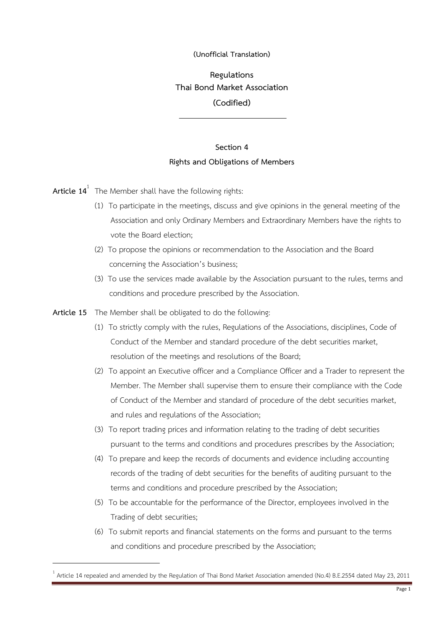## **(Unofficial Translation)**

**Regulations Thai Bond Market Association (Codified)**

## **Section 4 Rights and Obligations of Members**

**Article 14**<sup>1</sup> The Member shall have the following rights:

- (1) To participate in the meetings, discuss and give opinions in the general meeting of the Association and only Ordinary Members and Extraordinary Members have the rights to vote the Board election;
- (2) To propose the opinions or recommendation to the Association and the Board concerning the Association's business;
- (3) To use the services made available by the Association pursuant to the rules, terms and conditions and procedure prescribed by the Association.

**Article 15** The Member shall be obligated to do the following:

- (1) To strictly comply with the rules, Regulations of the Associations, disciplines, Code of Conduct of the Member and standard procedure of the debt securities market, resolution of the meetings and resolutions of the Board;
- (2) To appoint an Executive officer and a Compliance Officer and a Trader to represent the Member. The Member shall supervise them to ensure their compliance with the Code of Conduct of the Member and standard of procedure of the debt securities market, and rules and regulations of the Association;
- (3) To report trading prices and information relating to the trading of debt securities pursuant to the terms and conditions and procedures prescribes by the Association;
- (4) To prepare and keep the records of documents and evidence including accounting records of the trading of debt securities for the benefits of auditing pursuant to the terms and conditions and procedure prescribed by the Association;
- (5) To be accountable for the performance of the Director, employees involved in the Trading of debt securities;
- (6) To submit reports and financial statements on the forms and pursuant to the terms and conditions and procedure prescribed by the Association;

<sup>1</sup> Article 14 repealed and amended by the Regulation of Thai Bond Market Association amended (No.4) B.E.2554 dated May 23, 2011